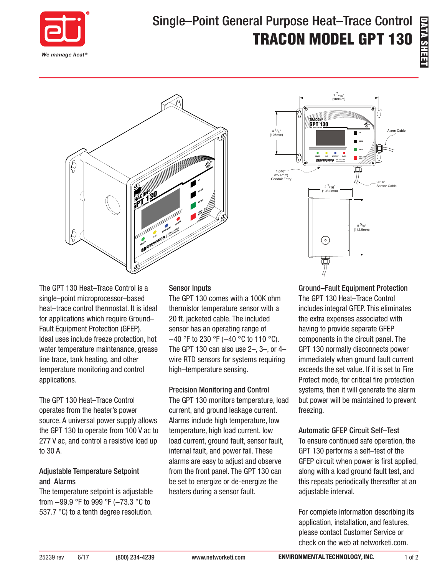

# Single–Point General Purpose Heat–Trace Control TRACON MODEL GPT 130





The GPT 130 Heat–Trace Control is a single–point microprocessor–based heat–trace control thermostat. It is ideal for applications which require Ground– Fault Equipment Protection (GFEP). Ideal uses include freeze protection, hot water temperature maintenance, grease line trace, tank heating, and other temperature monitoring and control applications.

The GPT 130 Heat–Trace Control operates from the heater's power source. A universal power supply allows the GPT 130 to operate from 100 V ac to 277 V ac, and control a resistive load up to 30 A.

#### Adjustable Temperature Setpoint and Alarms

The temperature setpoint is adjustable from −99.9 °F to 999 °F (−73.3 °C to 537.7 °C) to a tenth degree resolution.

#### Sensor Inputs

The GPT 130 comes with a 100K ohm thermistor temperature sensor with a 20 ft. jacketed cable. The included sensor has an operating range of −40 °F to 230 °F (−40 °C to 110 °C). The GPT 130 can also use  $2-$ ,  $3-$ , or  $4$ wire RTD sensors for systems requiring high–temperature sensing.

#### Precision Monitoring and Control

The GPT 130 monitors temperature, load current, and ground leakage current. Alarms include high temperature, low temperature, high load current, low load current, ground fault, sensor fault, internal fault, and power fail. These alarms are easy to adjust and observe from the front panel. The GPT 130 can be set to energize or de-energize the heaters during a sensor fault.

Ground–Fault Equipment Protection The GPT 130 Heat–Trace Control includes integral GFEP. This eliminates the extra expenses associated with having to provide separate GFEP components in the circuit panel. The GPT 130 normally disconnects power immediately when ground fault current exceeds the set value. If it is set to Fire Protect mode, for critical fire protection systems, then it will generate the alarm but power will be maintained to prevent freezing.

### Automatic GFEP Circuit Self–Test

To ensure continued safe operation, the GPT 130 performs a self–test of the GFEP circuit when power is first applied, along with a load ground fault test, and this repeats periodically thereafter at an adjustable interval.

For complete information describing its application, installation, and features, please contact Customer Service or check on the web at networketi.com.